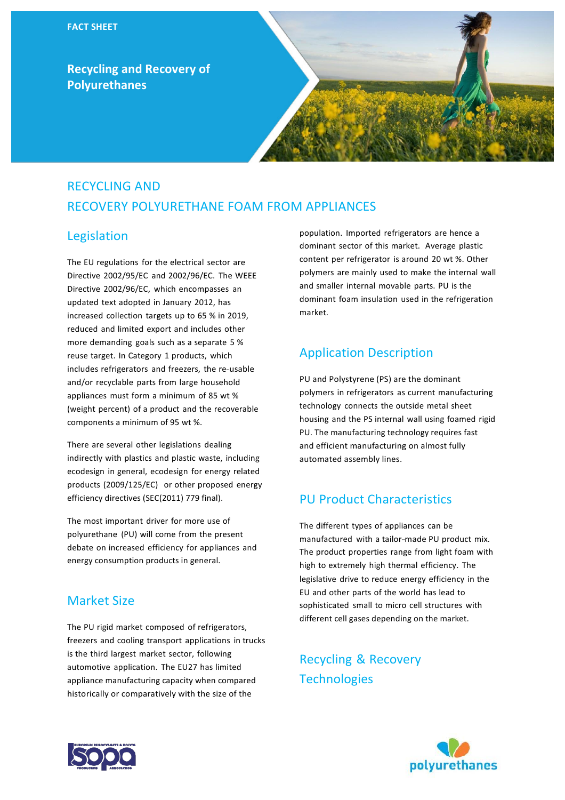**Recycling and Recovery of Polyurethanes**



# RECYCLING AND RECOVERY POLYURETHANE FOAM FROM APPLIANCES

## Legislation

The EU regulations for the electrical sector are Directive 2002/95/EC and 2002/96/EC. The WEEE Directive 2002/96/EC, which encompasses an updated text adopted in January 2012, has increased collection targets up to 65 % in 2019, reduced and limited export and includes other more demanding goals such as a separate 5 % reuse target. In Category 1 products, which includes refrigerators and freezers, the re-usable and/or recyclable parts from large household appliances must form a minimum of 85 wt % (weight percent) of a product and the recoverable components a minimum of 95 wt %.

There are several other legislations dealing indirectly with plastics and plastic waste, including ecodesign in general, ecodesign for energy related products (2009/125/EC) or other proposed energy efficiency directives (SEC(2011) 779 final).

The most important driver for more use of polyurethane (PU) will come from the present debate on increased efficiency for appliances and energy consumption products in general.

### Market Size

The PU rigid market composed of refrigerators, freezers and cooling transport applications in trucks is the third largest market sector, following automotive application. The EU27 has limited appliance manufacturing capacity when compared historically or comparatively with the size of the

population. Imported refrigerators are hence a dominant sector of this market. Average plastic content per refrigerator is around 20 wt %. Other polymers are mainly used to make the internal wall and smaller internal movable parts. PU is the dominant foam insulation used in the refrigeration market.

# Application Description

PU and Polystyrene (PS) are the dominant polymers in refrigerators as current manufacturing technology connects the outside metal sheet housing and the PS internal wall using foamed rigid PU. The manufacturing technology requires fast and efficient manufacturing on almost fully automated assembly lines.

# PU Product Characteristics

The different types of appliances can be manufactured with a tailor-made PU product mix. The product properties range from light foam with high to extremely high thermal efficiency. The legislative drive to reduce energy efficiency in the EU and other parts of the world has lead to sophisticated small to micro cell structures with different cell gases depending on the market.

Recycling & Recovery **Technologies**